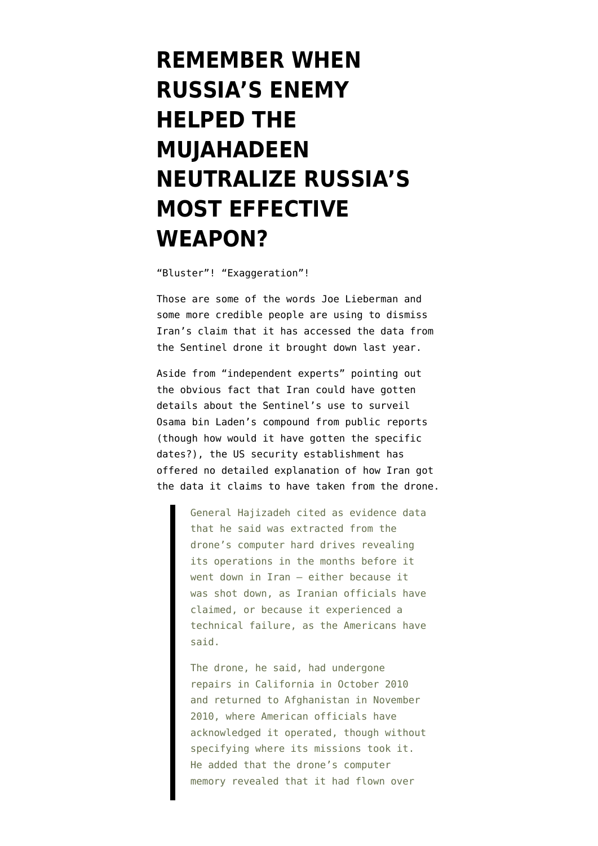## **[REMEMBER WHEN](https://www.emptywheel.net/2012/04/23/remember-when-russias-enemy-helped-the-mujahadeen-neutralize-russias-most-effective-weapon/) [RUSSIA'S ENEMY](https://www.emptywheel.net/2012/04/23/remember-when-russias-enemy-helped-the-mujahadeen-neutralize-russias-most-effective-weapon/) [HELPED THE](https://www.emptywheel.net/2012/04/23/remember-when-russias-enemy-helped-the-mujahadeen-neutralize-russias-most-effective-weapon/) [MUJAHADEEN](https://www.emptywheel.net/2012/04/23/remember-when-russias-enemy-helped-the-mujahadeen-neutralize-russias-most-effective-weapon/) [NEUTRALIZE RUSSIA'S](https://www.emptywheel.net/2012/04/23/remember-when-russias-enemy-helped-the-mujahadeen-neutralize-russias-most-effective-weapon/) [MOST EFFECTIVE](https://www.emptywheel.net/2012/04/23/remember-when-russias-enemy-helped-the-mujahadeen-neutralize-russias-most-effective-weapon/) [WEAPON?](https://www.emptywheel.net/2012/04/23/remember-when-russias-enemy-helped-the-mujahadeen-neutralize-russias-most-effective-weapon/)**

"Bluster"! "Exaggeration"!

Those are some of the words Joe Lieberman and some more credible people [are using](https://www.nytimes.com/2012/04/23/world/middleeast/iranians-say-they-took-secret-data-from-drone.html) to dismiss Iran's claim that it has accessed the data from the Sentinel drone it brought down last year.

Aside from "independent experts" pointing out the obvious fact that Iran could have gotten details about the Sentinel's use to surveil Osama bin Laden's compound from public reports (though how would it have gotten the specific dates?), the US security establishment has offered no detailed explanation of how Iran got the data it claims to have taken from the drone.

> General Hajizadeh cited as evidence data that he said was extracted from the drone's computer hard drives revealing its operations in the months before it went down in Iran — either because it was shot down, as Iranian officials have claimed, or because it experienced a technical failure, as the Americans have said.

> The drone, he said, had undergone repairs in California in October 2010 and returned to Afghanistan in November 2010, where American officials have acknowledged it operated, though without specifying where its missions took it. He added that the drone's computer memory revealed that it had flown over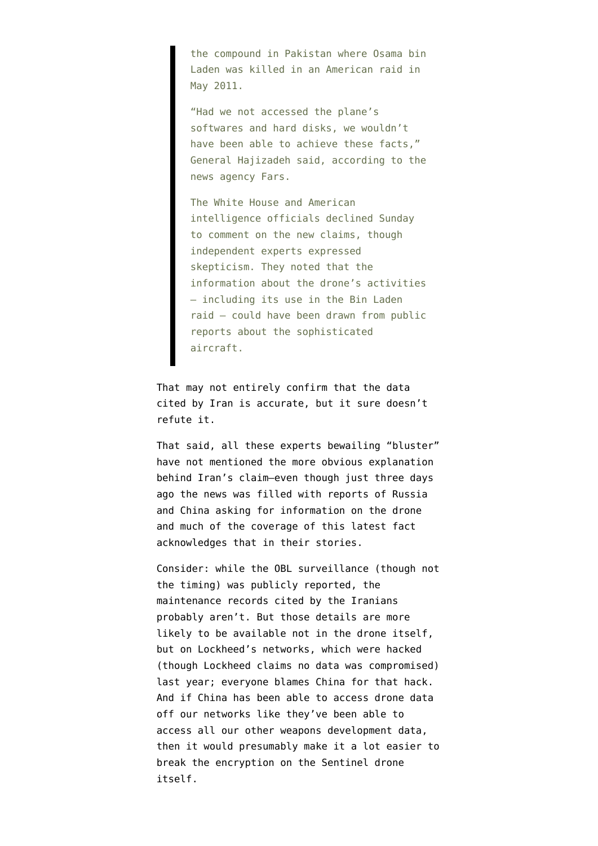the compound in Pakistan where Osama bin Laden was killed in an American raid in May 2011.

"Had we not accessed the plane's softwares and hard disks, we wouldn't have been able to achieve these facts," General Hajizadeh said, according to the news agency Fars.

The White House and American intelligence officials declined Sunday to comment on the new claims, though independent experts expressed skepticism. They noted that the information about the drone's activities — including its use in the Bin Laden raid — could have been drawn from public reports about the sophisticated aircraft.

That may not entirely confirm that the data cited by Iran is accurate, but it sure doesn't refute it.

That said, all these experts bewailing "bluster" have not mentioned the more obvious explanation behind Iran's claim–even though just three days ago the news was [filled with reports](http://www.boston.com/news/world/middleeast/articles/2012/04/19/russia_china_seek_info_on_us_drone_held_by_iran/) of Russia and China asking for information on the drone and much of the coverage of this latest fact acknowledges that in their stories.

Consider: while the OBL surveillance (though not the timing) was publicly reported, the maintenance records cited by the Iranians probably aren't. But those details are more likely to be available not in the drone itself, but on Lockheed's networks, which were hacked (though Lockheed claims no data was compromised) last year; [everyone blames](http://www.theregister.co.uk/2012/03/29/nsa_blames_china_rsa_hack/) China for that hack. And if China has been able to access drone data off our networks like they've been able to access all our other weapons development data, then it would presumably make it a lot easier to break the encryption on the Sentinel drone itself.